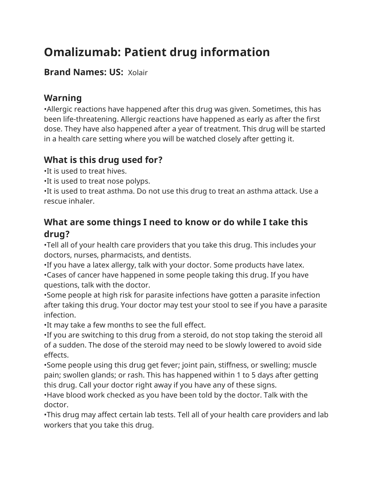# **Omalizumab: Patient drug information**

#### **Brand Names: US:** Xolair

## **Warning**

•Allergic reactions have happened after this drug was given. Sometimes, this has been life-threatening. Allergic reactions have happened as early as after the first dose. They have also happened after a year of treatment. This drug will be started in a health care setting where you will be watched closely after getting it.

#### **What is this drug used for?**

•It is used to treat hives.

•It is used to treat nose polyps.

•It is used to treat asthma. Do not use this drug to treat an asthma attack. Use a rescue inhaler.

## **What are some things I need to know or do while I take this drug?**

•Tell all of your health care providers that you take this drug. This includes your doctors, nurses, pharmacists, and dentists.

•If you have a latex allergy, talk with your doctor. Some products have latex.

•Cases of cancer have happened in some people taking this drug. If you have questions, talk with the doctor.

•Some people at high risk for parasite infections have gotten a parasite infection after taking this drug. Your doctor may test your stool to see if you have a parasite infection.

•It may take a few months to see the full effect.

•If you are switching to this drug from a steroid, do not stop taking the steroid all of a sudden. The dose of the steroid may need to be slowly lowered to avoid side effects.

•Some people using this drug get fever; joint pain, stiffness, or swelling; muscle pain; swollen glands; or rash. This has happened within 1 to 5 days after getting this drug. Call your doctor right away if you have any of these signs.

•Have blood work checked as you have been told by the doctor. Talk with the doctor.

•This drug may affect certain lab tests. Tell all of your health care providers and lab workers that you take this drug.